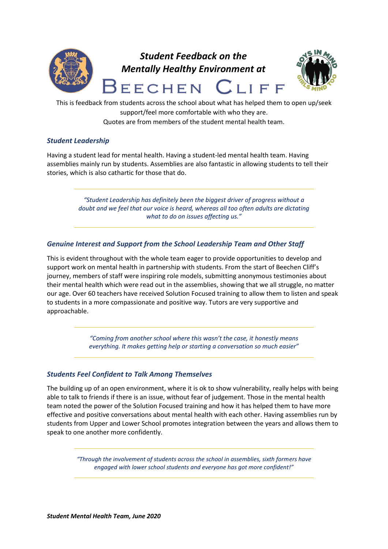

# *Student Feedback on the Mentally Healthy Environment at*



**EECHEN**  $I$   $I$   $F$ This is feedback from students across the school about what has helped them to open up/seek

support/feel more comfortable with who they are.

Quotes are from members of the student mental health team.

# *Student Leadership*

Having a student lead for mental health. Having a student-led mental health team. Having assemblies mainly run by students. Assemblies are also fantastic in allowing students to tell their stories, which is also cathartic for those that do.

> *"Student Leadership has definitely been the biggest driver of progress without a doubt and we feel that our voice is heard, whereas all too often adults are dictating what to do on issues affecting us."*

## *Genuine Interest and Support from the School Leadership Team and Other Staff*

This is evident throughout with the whole team eager to provide opportunities to develop and support work on mental health in partnership with students. From the start of Beechen Cliff's journey, members of staff were inspiring role models, submitting anonymous testimonies about their mental health which were read out in the assemblies, showing that we all struggle, no matter our age. Over 60 teachers have received Solution Focused training to allow them to listen and speak to students in a more compassionate and positive way. Tutors are very supportive and approachable.

> *"Coming from another school where this wasn't the case, it honestly means everything. It makes getting help or starting a conversation so much easier"*

# *Students Feel Confident to Talk Among Themselves*

The building up of an open environment, where it is ok to show vulnerability, really helps with being able to talk to friends if there is an issue, without fear of judgement. Those in the mental health team noted the power of the Solution Focused training and how it has helped them to have more effective and positive conversations about mental health with each other. Having assemblies run by students from Upper and Lower School promotes integration between the years and allows them to speak to one another more confidently.

> *"Through the involvement of students across the school in assemblies, sixth formers have engaged with lower school students and everyone has got more confident!"*